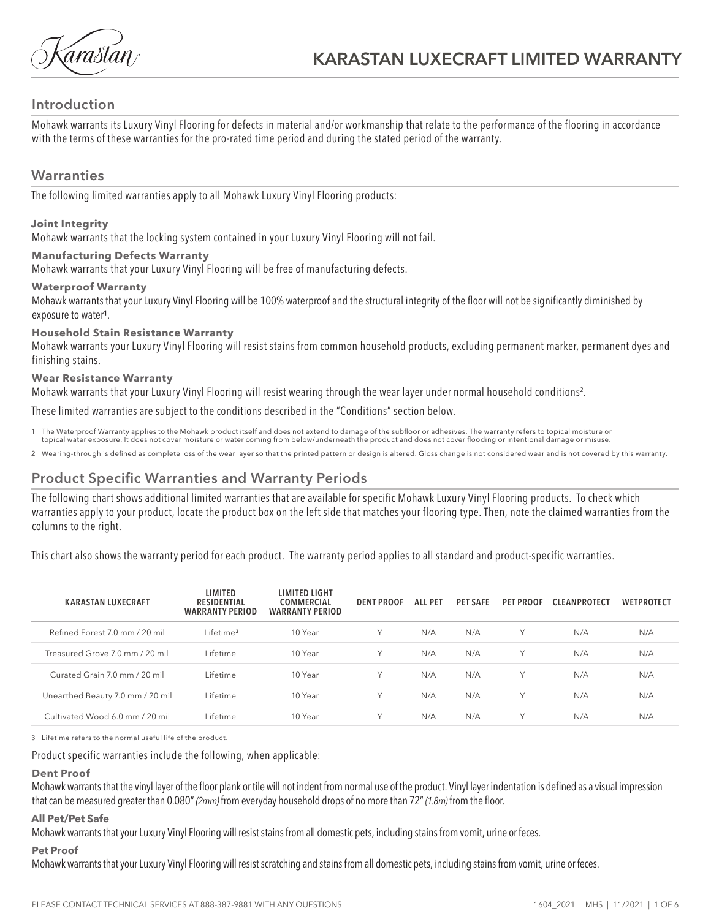árastán/

### **Introduction**

Mohawk warrants its Luxury Vinyl Flooring for defects in material and/or workmanship that relate to the performance of the flooring in accordance with the terms of these warranties for the pro-rated time period and during the stated period of the warranty.

### **Warranties**

The following limited warranties apply to all Mohawk Luxury Vinyl Flooring products:

### **Joint Integrity**

Mohawk warrants that the locking system contained in your Luxury Vinyl Flooring will not fail.

### **Manufacturing Defects Warranty**

Mohawk warrants that your Luxury Vinyl Flooring will be free of manufacturing defects.

#### **Waterproof Warranty**

Mohawk warrants that your Luxury Vinyl Flooring will be 100% waterproof and the structural integrity of the floor will not be significantly diminished by exposure to water<sup>1</sup>.

### **Household Stain Resistance Warranty**

Mohawk warrants your Luxury Vinyl Flooring will resist stains from common household products, excluding permanent marker, permanent dyes and finishing stains.

### **Wear Resistance Warranty**

Mohawk warrants that your Luxury Vinyl Flooring will resist wearing through the wear layer under normal household conditions2 .

These limited warranties are subject to the conditions described in the "Conditions" section below.

- 1 The Waterproof Warranty applies to the Mohawk product itself and does not extend to damage of the subfloor or adhesives. The warranty refers to topical moisture or topical water exposure. It does not cover moisture or water coming from below/underneath the product and does not cover flooding or intentional damage or misuse.
- 2 Wearing-through is defined as complete loss of the wear layer so that the printed pattern or design is altered. Gloss change is not considered wear and is not covered by this warranty.

## **Product Specific Warranties and Warranty Periods**

The following chart shows additional limited warranties that are available for specific Mohawk Luxury Vinyl Flooring products. To check which warranties apply to your product, locate the product box on the left side that matches your flooring type. Then, note the claimed warranties from the columns to the right.

This chart also shows the warranty period for each product. The warranty period applies to all standard and product-specific warranties.

| <b>KARASTAN LUXECRAFT</b>        | LIMITED<br><b>RESIDENTIAL</b><br><b>WARRANTY PERIOD</b> | LIMITED LIGHT<br>COMMERCIAL<br><b>WARRANTY PERIOD</b> | <b>DENT PROOF</b> | ALL PET | <b>PET SAFE</b> | <b>PET PROOF</b> | <b>CLEANPROTECT</b> | <b>WETPROTECT</b> |
|----------------------------------|---------------------------------------------------------|-------------------------------------------------------|-------------------|---------|-----------------|------------------|---------------------|-------------------|
| Refined Forest 7.0 mm / 20 mil   | Lifetime <sup>3</sup>                                   | 10 Year                                               | Υ                 | N/A     | N/A             | $\vee$           | N/A                 | N/A               |
| Treasured Grove 7.0 mm / 20 mil  | Lifetime                                                | 10 Year                                               | Υ                 | N/A     | N/A             | $\checkmark$     | N/A                 | N/A               |
| Curated Grain 7.0 mm / 20 mil    | Lifetime                                                | 10 Year                                               | Υ                 | N/A     | N/A             | $\vee$           | N/A                 | N/A               |
| Unearthed Beauty 7.0 mm / 20 mil | Lifetime                                                | 10 Year                                               | Y                 | N/A     | N/A             | Y                | N/A                 | N/A               |
| Cultivated Wood 6.0 mm / 20 mil  | Lifetime                                                | 10 Year                                               | Υ                 | N/A     | N/A             | $\checkmark$     | N/A                 | N/A               |

3 Lifetime refers to the normal useful life of the product.

#### Product specific warranties include the following, when applicable:

#### **Dent Proof**

Mohawk warrants that the vinyl layer of the floor plank or tile will not indent from normal use of the product. Vinyl layer indentation is defined as a visual impression that can be measured greater than 0.080" *(2mm)* from everyday household drops of no more than 72" *(1.8m)* from the floor.

### **All Pet/Pet Safe**

Mohawk warrants that your Luxury Vinyl Flooring will resist stains from all domestic pets, including stains from vomit, urine or feces.

#### **Pet Proof**

Mohawk warrants that your Luxury Vinyl Flooring will resist scratching and stains from all domestic pets, including stains from vomit, urine or feces.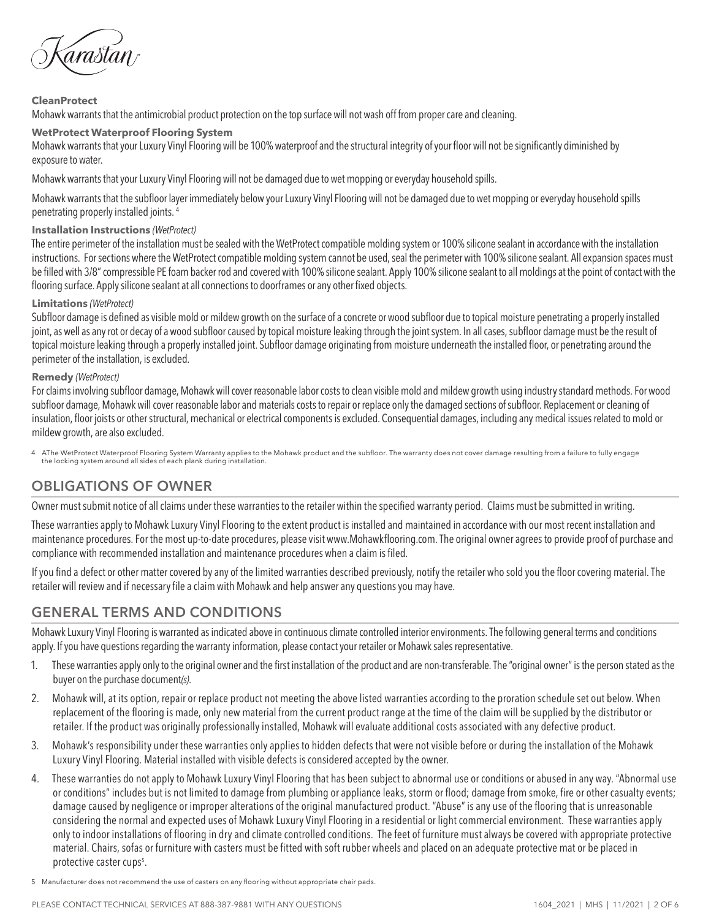írastan

### **CleanProtect**

Mohawk warrants that the antimicrobial product protection on the top surface will not wash off from proper care and cleaning.

#### **WetProtect Waterproof Flooring System**

Mohawk warrants that your Luxury Vinyl Flooring will be 100% waterproof and the structural integrity of your floor will not be significantly diminished by exposure to water.

Mohawk warrants that your Luxury Vinyl Flooring will not be damaged due to wet mopping or everyday household spills.

Mohawk warrants that the subfloor layer immediately below your Luxury Vinyl Flooring will not be damaged due to wet mopping or everyday household spills penetrating properly installed joints. 4

### **Installation Instructions** *(WetProtect)*

The entire perimeter of the installation must be sealed with the WetProtect compatible molding system or 100% silicone sealant in accordance with the installation instructions. For sections where the WetProtect compatible molding system cannot be used, seal the perimeter with 100% silicone sealant. All expansion spaces must be filled with 3/8" compressible PE foam backer rod and covered with 100% silicone sealant. Apply 100% silicone sealant to all moldings at the point of contact with the flooring surface. Apply silicone sealant at all connections to doorframes or any other fixed objects.

### **Limitations** *(WetProtect)*

Subfloor damage is defined as visible mold or mildew growth on the surface of a concrete or wood subfloor due to topical moisture penetrating a properly installed joint, as well as any rot or decay of a wood subfloor caused by topical moisture leaking through the joint system. In all cases, subfloor damage must be the result of topical moisture leaking through a properly installed joint. Subfloor damage originating from moisture underneath the installed floor, or penetrating around the perimeter of the installation, is excluded.

### **Remedy** *(WetProtect)*

For claims involving subfloor damage, Mohawk will cover reasonable labor costs to clean visible mold and mildew growth using industry standard methods. For wood subfloor damage, Mohawk will cover reasonable labor and materials costs to repair or replace only the damaged sections of subfloor. Replacement or cleaning of insulation, floor joists or other structural, mechanical or electrical components is excluded. Consequential damages, including any medical issues related to mold or mildew growth, are also excluded.

4 AThe WetProtect Waterproof Flooring System Warranty applies to the Mohawk product and the subfloor. The warranty does not cover damage resulting from a failure to fully engage the locking system around all sides of each plank during installation.

## **OBLIGATIONS OF OWNER**

Owner must submit notice of all claims under these warranties to the retailer within the specified warranty period. Claims must be submitted in writing.

These warranties apply to Mohawk Luxury Vinyl Flooring to the extent product is installed and maintained in accordance with our most recent installation and maintenance procedures. For the most up-to-date procedures, please visit www.Mohawkflooring.com. The original owner agrees to provide proof of purchase and compliance with recommended installation and maintenance procedures when a claim is filed.

If you find a defect or other matter covered by any of the limited warranties described previously, notify the retailer who sold you the floor covering material. The retailer will review and if necessary file a claim with Mohawk and help answer any questions you may have.

## **GENERAL TERMS AND CONDITIONS**

Mohawk Luxury Vinyl Flooring is warranted as indicated above in continuous climate controlled interior environments. The following general terms and conditions apply. If you have questions regarding the warranty information, please contact your retailer or Mohawk sales representative.

- 1. These warranties apply only to the original owner and the first installation of the product and are non-transferable. The "original owner" is the person stated as the buyer on the purchase document*(s)*.
- 2. Mohawk will, at its option, repair or replace product not meeting the above listed warranties according to the proration schedule set out below. When replacement of the flooring is made, only new material from the current product range at the time of the claim will be supplied by the distributor or retailer. If the product was originally professionally installed, Mohawk will evaluate additional costs associated with any defective product.
- 3. Mohawk's responsibility under these warranties only applies to hidden defects that were not visible before or during the installation of the Mohawk Luxury Vinyl Flooring. Material installed with visible defects is considered accepted by the owner.
- 4. These warranties do not apply to Mohawk Luxury Vinyl Flooring that has been subject to abnormal use or conditions or abused in any way. "Abnormal use or conditions" includes but is not limited to damage from plumbing or appliance leaks, storm or flood; damage from smoke, fire or other casualty events; damage caused by negligence or improper alterations of the original manufactured product. "Abuse" is any use of the flooring that is unreasonable considering the normal and expected uses of Mohawk Luxury Vinyl Flooring in a residential or light commercial environment. These warranties apply only to indoor installations of flooring in dry and climate controlled conditions. The feet of furniture must always be covered with appropriate protective material. Chairs, sofas or furniture with casters must be fitted with soft rubber wheels and placed on an adequate protective mat or be placed in protective caster cups<sup>5</sup>.

5 Manufacturer does not recommend the use of casters on any flooring without appropriate chair pads.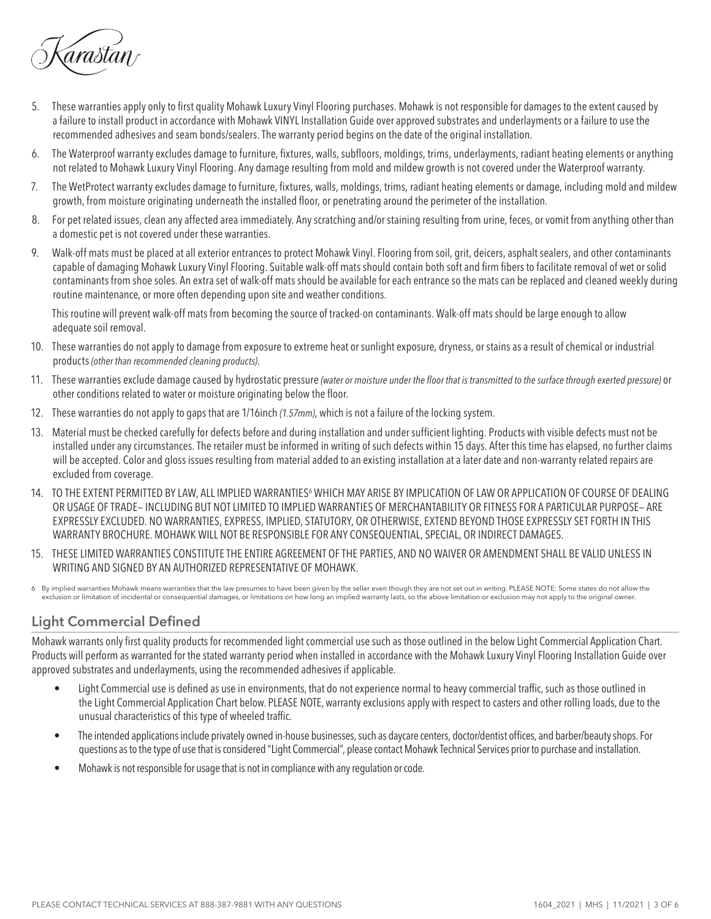árastán

- 5. These warranties apply only to first quality Mohawk Luxury Vinyl Flooring purchases. Mohawk is not responsible for damages to the extent caused by a failure to install product in accordance with Mohawk VINYL Installation Guide over approved substrates and underlayments or a failure to use the recommended adhesives and seam bonds/sealers. The warranty period begins on the date of the original installation.
- 6. The Waterproof warranty excludes damage to furniture, fixtures, walls, subfloors, moldings, trims, underlayments, radiant heating elements or anything not related to Mohawk Luxury Vinyl Flooring. Any damage resulting from mold and mildew growth is not covered under the Waterproof warranty.
- 7. The WetProtect warranty excludes damage to furniture, fixtures, walls, moldings, trims, radiant heating elements or damage, including mold and mildew growth, from moisture originating underneath the installed floor, or penetrating around the perimeter of the installation.
- 8. For pet related issues, clean any affected area immediately. Any scratching and/or staining resulting from urine, feces, or vomit from anything other than a domestic pet is not covered under these warranties.
- 9. Walk-off mats must be placed at all exterior entrances to protect Mohawk Vinyl. Flooring from soil, grit, deicers, asphalt sealers, and other contaminants capable of damaging Mohawk Luxury Vinyl Flooring. Suitable walk-off mats should contain both soft and firm fibers to facilitate removal of wet or solid contaminants from shoe soles. An extra set of walk-off mats should be available for each entrance so the mats can be replaced and cleaned weekly during routine maintenance, or more often depending upon site and weather conditions.

This routine will prevent walk-off mats from becoming the source of tracked-on contaminants. Walk-off mats should be large enough to allow adequate soil removal.

- 10. These warranties do not apply to damage from exposure to extreme heat or sunlight exposure, dryness, or stains as a result of chemical or industrial products *(other than recommended cleaning products)*.
- 11. These warranties exclude damage caused by hydrostatic pressure *(water or moisture under the floor that is transmitted to the surface through exerted pressure)* or other conditions related to water or moisture originating below the floor.
- 12. These warranties do not apply to gaps that are 1/16inch *(1.57mm)*, which is not a failure of the locking system.
- 13. Material must be checked carefully for defects before and during installation and under sufficient lighting. Products with visible defects must not be installed under any circumstances. The retailer must be informed in writing of such defects within 15 days. After this time has elapsed, no further claims will be accepted. Color and gloss issues resulting from material added to an existing installation at a later date and non-warranty related repairs are excluded from coverage.
- 14. TO THE EXTENT PERMITTED BY LAW, ALL IMPLIED WARRANTIES<sup>6</sup> WHICH MAY ARISE BY IMPLICATION OF LAW OR APPLICATION OF COURSE OF DEALING OR USAGE OF TRADE— INCLUDING BUT NOT LIMITED TO IMPLIED WARRANTIES OF MERCHANTABILITY OR FITNESS FOR A PARTICULAR PURPOSE— ARE EXPRESSLY EXCLUDED. NO WARRANTIES, EXPRESS, IMPLIED, STATUTORY, OR OTHERWISE, EXTEND BEYOND THOSE EXPRESSLY SET FORTH IN THIS WARRANTY BROCHURE. MOHAWK WILL NOT BE RESPONSIBLE FOR ANY CONSEQUENTIAL, SPECIAL, OR INDIRECT DAMAGES.
- 15. THESE LIMITED WARRANTIES CONSTITUTE THE ENTIRE AGREEMENT OF THE PARTIES, AND NO WAIVER OR AMENDMENT SHALL BE VALID UNLESS IN WRITING AND SIGNED BY AN AUTHORIZED REPRESENTATIVE OF MOHAWK.
- 6 By implied warranties Mohawk means warranties that the law presumes to have been given by the seller even though they are not set out in writing. PLEASE NOTE: Some states do not allow the exclusion or limitation of incidental or consequential damages, or limitations on how long an implied warranty lasts, so the above limitation or exclusion may not apply to the original owner.

## **Light Commercial Defined**

Mohawk warrants only first quality products for recommended light commercial use such as those outlined in the below Light Commercial Application Chart. Products will perform as warranted for the stated warranty period when installed in accordance with the Mohawk Luxury Vinyl Flooring Installation Guide over approved substrates and underlayments, using the recommended adhesives if applicable.

- Light Commercial use is defined as use in environments, that do not experience normal to heavy commercial traffic, such as those outlined in the Light Commercial Application Chart below. PLEASE NOTE, warranty exclusions apply with respect to casters and other rolling loads, due to the unusual characteristics of this type of wheeled traffic.
- The intended applications include privately owned in-house businesses, such as daycare centers, doctor/dentist offices, and barber/beauty shops. For questions as to the type of use that is considered "Light Commercial", please contact Mohawk Technical Services prior to purchase and installation.
- Mohawk is not responsible for usage that is not in compliance with any regulation or code.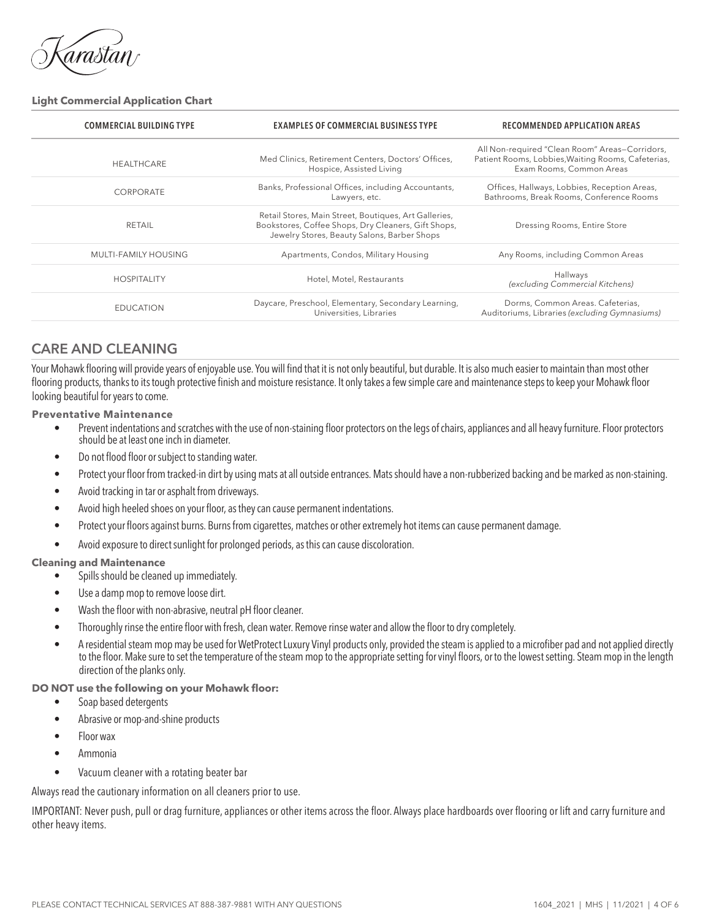árastán

#### **Light Commercial Application Chart**

| <b>COMMERCIAL BUILDING TYPE</b> | <b>EXAMPLES OF COMMERCIAL BUSINESS TYPE</b>                                                                                                                 | <b>RECOMMENDED APPLICATION AREAS</b>                                                                                             |  |  |
|---------------------------------|-------------------------------------------------------------------------------------------------------------------------------------------------------------|----------------------------------------------------------------------------------------------------------------------------------|--|--|
| <b>HEALTHCARE</b>               | Med Clinics, Retirement Centers, Doctors' Offices,<br>Hospice, Assisted Living                                                                              | All Non-required "Clean Room" Areas-Corridors,<br>Patient Rooms, Lobbies, Waiting Rooms, Cafeterias,<br>Exam Rooms, Common Areas |  |  |
| CORPORATE                       | Banks, Professional Offices, including Accountants,<br>Lawyers, etc.                                                                                        | Offices, Hallways, Lobbies, Reception Areas,<br>Bathrooms, Break Rooms, Conference Rooms                                         |  |  |
| RETAIL                          | Retail Stores, Main Street, Boutiques, Art Galleries,<br>Bookstores, Coffee Shops, Dry Cleaners, Gift Shops,<br>Jewelry Stores, Beauty Salons, Barber Shops | Dressing Rooms, Entire Store                                                                                                     |  |  |
| MULTI-FAMILY HOUSING            | Apartments, Condos, Military Housing                                                                                                                        | Any Rooms, including Common Areas                                                                                                |  |  |
| <b>HOSPITALITY</b>              | Hotel, Motel, Restaurants                                                                                                                                   | Hallways<br>(excluding Commercial Kitchens)                                                                                      |  |  |
| <b>EDUCATION</b>                | Daycare, Preschool, Elementary, Secondary Learning,<br>Universities, Libraries                                                                              | Dorms, Common Areas. Cafeterias,<br>Auditoriums, Libraries (excluding Gymnasiums)                                                |  |  |

## **CARE AND CLEANING**

Your Mohawk flooring will provide years of enjoyable use. You will find that it is not only beautiful, but durable. It is also much easier to maintain than most other flooring products, thanks to its tough protective finish and moisture resistance. It only takes a few simple care and maintenance steps to keep your Mohawk floor looking beautiful for years to come.

**Preventative Maintenance**

- Prevent indentations and scratches with the use of non-staining floor protectors on the legs of chairs, appliances and all heavy furniture. Floor protectors should be at least one inch in diameter.
- Do not flood floor or subject to standing water.
- Protect your floor from tracked-in dirt by using mats at all outside entrances. Mats should have a non-rubberized backing and be marked as non-staining.
- Avoid tracking in tar or asphalt from driveways.
- Avoid high heeled shoes on your floor, as they can cause permanent indentations.
- Protect your floors against burns. Burns from cigarettes, matches or other extremely hot items can cause permanent damage.
- Avoid exposure to direct sunlight for prolonged periods, as this can cause discoloration.

#### **Cleaning and Maintenance**

- Spills should be cleaned up immediately.
- Use a damp mop to remove loose dirt.
- Wash the floor with non-abrasive, neutral pH floor cleaner.
- Thoroughly rinse the entire floor with fresh, clean water. Remove rinse water and allow the floor to dry completely.
- A residential steam mop may be used for WetProtect Luxury Vinyl products only, provided the steam is applied to a microfiber pad and not applied directly to the floor. Make sure to set the temperature of the steam mop to the appropriate setting for vinyl floors, or to the lowest setting. Steam mop in the length direction of the planks only.
- **DO NOT use the following on your Mohawk floor:**
	- Soap based detergents
	- Abrasive or mop-and-shine products
	- Floor wax
	- Ammonia
	- Vacuum cleaner with a rotating beater bar

Always read the cautionary information on all cleaners prior to use.

IMPORTANT: Never push, pull or drag furniture, appliances or other items across the floor. Always place hardboards over flooring or lift and carry furniture and other heavy items.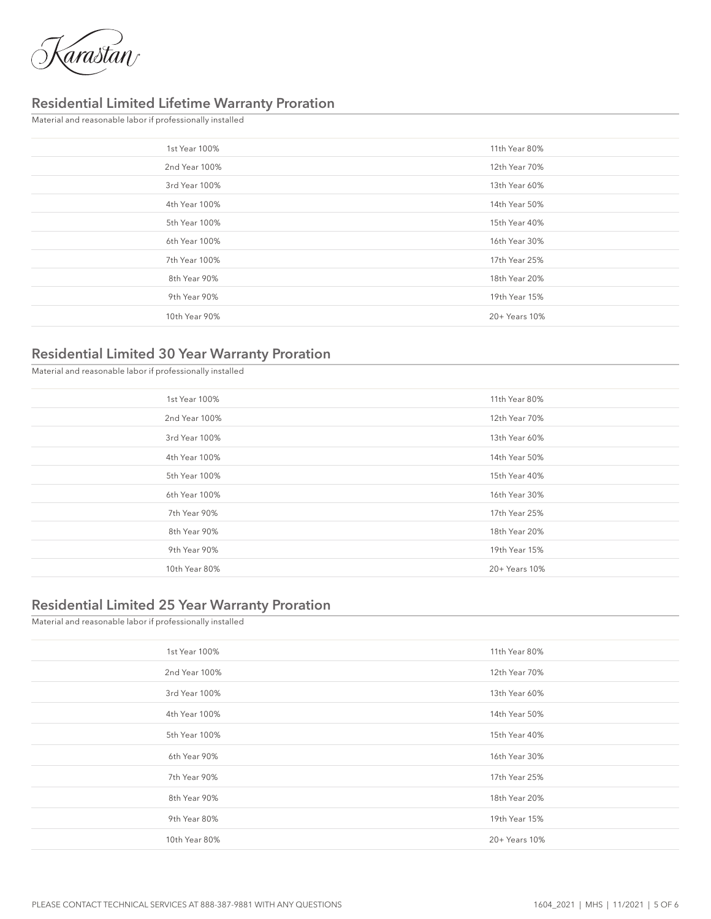

## **Residential Limited Lifetime Warranty Proration**

Material and reasonable labor if professionally installed

| 1st Year 100% | 11th Year 80% |
|---------------|---------------|
| 2nd Year 100% | 12th Year 70% |
| 3rd Year 100% | 13th Year 60% |
| 4th Year 100% | 14th Year 50% |
| 5th Year 100% | 15th Year 40% |
| 6th Year 100% | 16th Year 30% |
| 7th Year 100% | 17th Year 25% |
| 8th Year 90%  | 18th Year 20% |
| 9th Year 90%  | 19th Year 15% |
| 10th Year 90% | 20+ Years 10% |
|               |               |

# **Residential Limited 30 Year Warranty Proration**

Material and reasonable labor if professionally installed

| 1st Year 100% | 11th Year 80% |
|---------------|---------------|
| 2nd Year 100% | 12th Year 70% |
| 3rd Year 100% | 13th Year 60% |
| 4th Year 100% | 14th Year 50% |
| 5th Year 100% | 15th Year 40% |
| 6th Year 100% | 16th Year 30% |
| 7th Year 90%  | 17th Year 25% |
| 8th Year 90%  | 18th Year 20% |
| 9th Year 90%  | 19th Year 15% |
| 10th Year 80% | 20+ Years 10% |
|               |               |

### **Residential Limited 25 Year Warranty Proration**

| Material and reasonable labor if professionally installed |               |  |  |
|-----------------------------------------------------------|---------------|--|--|
| 1st Year 100%                                             | 11th Year 80% |  |  |
| 2nd Year 100%                                             | 12th Year 70% |  |  |
| 3rd Year 100%                                             | 13th Year 60% |  |  |
| 4th Year 100%                                             | 14th Year 50% |  |  |
| 5th Year 100%                                             | 15th Year 40% |  |  |
| 6th Year 90%                                              | 16th Year 30% |  |  |
| 7th Year 90%                                              | 17th Year 25% |  |  |
| 8th Year 90%                                              | 18th Year 20% |  |  |
| 9th Year 80%                                              | 19th Year 15% |  |  |
| 10th Year 80%                                             | 20+ Years 10% |  |  |